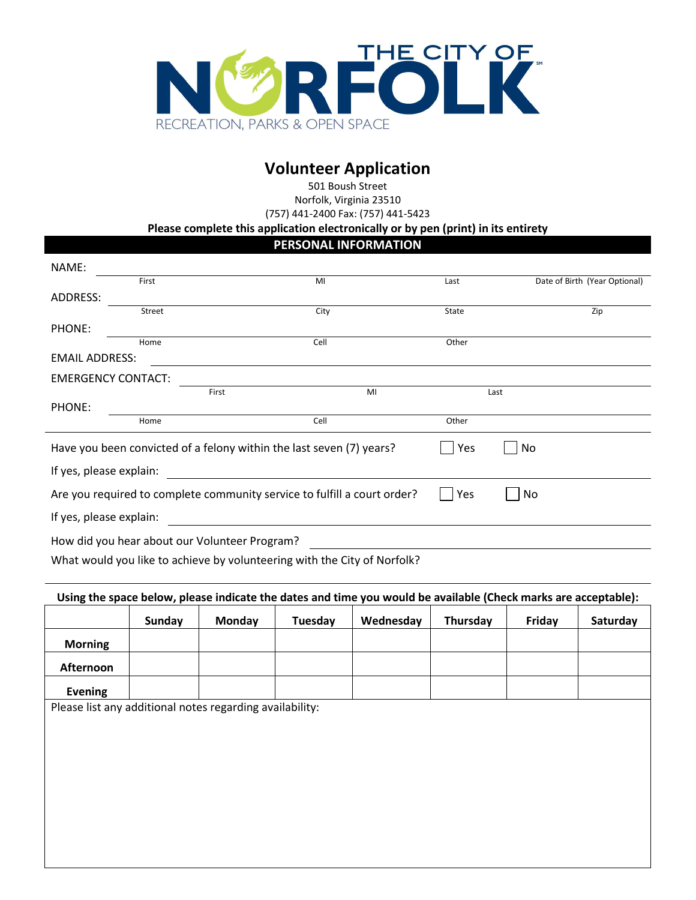

# **Volunteer Application**

501 Boush Street Norfolk, Virginia 23510 (757) 441-2400 Fax: (757) 441-5423

**Please complete this application electronically or by pen (print) in its entirety**

## **PERSONAL INFORMATION**

| NAME:                     |                                               |                                                                                                                      |       |                               |
|---------------------------|-----------------------------------------------|----------------------------------------------------------------------------------------------------------------------|-------|-------------------------------|
|                           | First                                         | MI                                                                                                                   | Last  | Date of Birth (Year Optional) |
| ADDRESS:                  |                                               |                                                                                                                      |       |                               |
|                           | Street                                        | City                                                                                                                 | State | Zip                           |
| PHONE:                    |                                               |                                                                                                                      |       |                               |
|                           | Home                                          | Cell                                                                                                                 | Other |                               |
| <b>EMAIL ADDRESS:</b>     |                                               |                                                                                                                      |       |                               |
| <b>EMERGENCY CONTACT:</b> |                                               |                                                                                                                      |       |                               |
|                           | First                                         | MI                                                                                                                   |       | Last                          |
| PHONE:                    |                                               |                                                                                                                      |       |                               |
|                           | Home                                          | Cell                                                                                                                 | Other |                               |
|                           |                                               | Have you been convicted of a felony within the last seven (7) years?                                                 | Yes   | No                            |
| If yes, please explain:   |                                               | <u> 1989 - Jan Stein Stein Stein Stein Stein Stein Stein Stein Stein Stein Stein Stein Stein Stein Stein Stein S</u> |       |                               |
|                           |                                               | Are you required to complete community service to fulfill a court order?                                             | Yes   | No                            |
| If yes, please explain:   |                                               |                                                                                                                      |       |                               |
|                           | How did you hear about our Volunteer Program? |                                                                                                                      |       |                               |
|                           |                                               | What would you like to achieve by volunteering with the City of Norfolk?                                             |       |                               |

## **Using the space below, please indicate the dates and time you would be available (Check marks are acceptable):**

|                | Sunday | Monday | Tuesday | Wednesday | Thursday | Friday | Saturday |
|----------------|--------|--------|---------|-----------|----------|--------|----------|
| <b>Morning</b> |        |        |         |           |          |        |          |
| Afternoon      |        |        |         |           |          |        |          |
| <b>Evening</b> |        |        |         |           |          |        |          |

Please list any additional notes regarding availability: